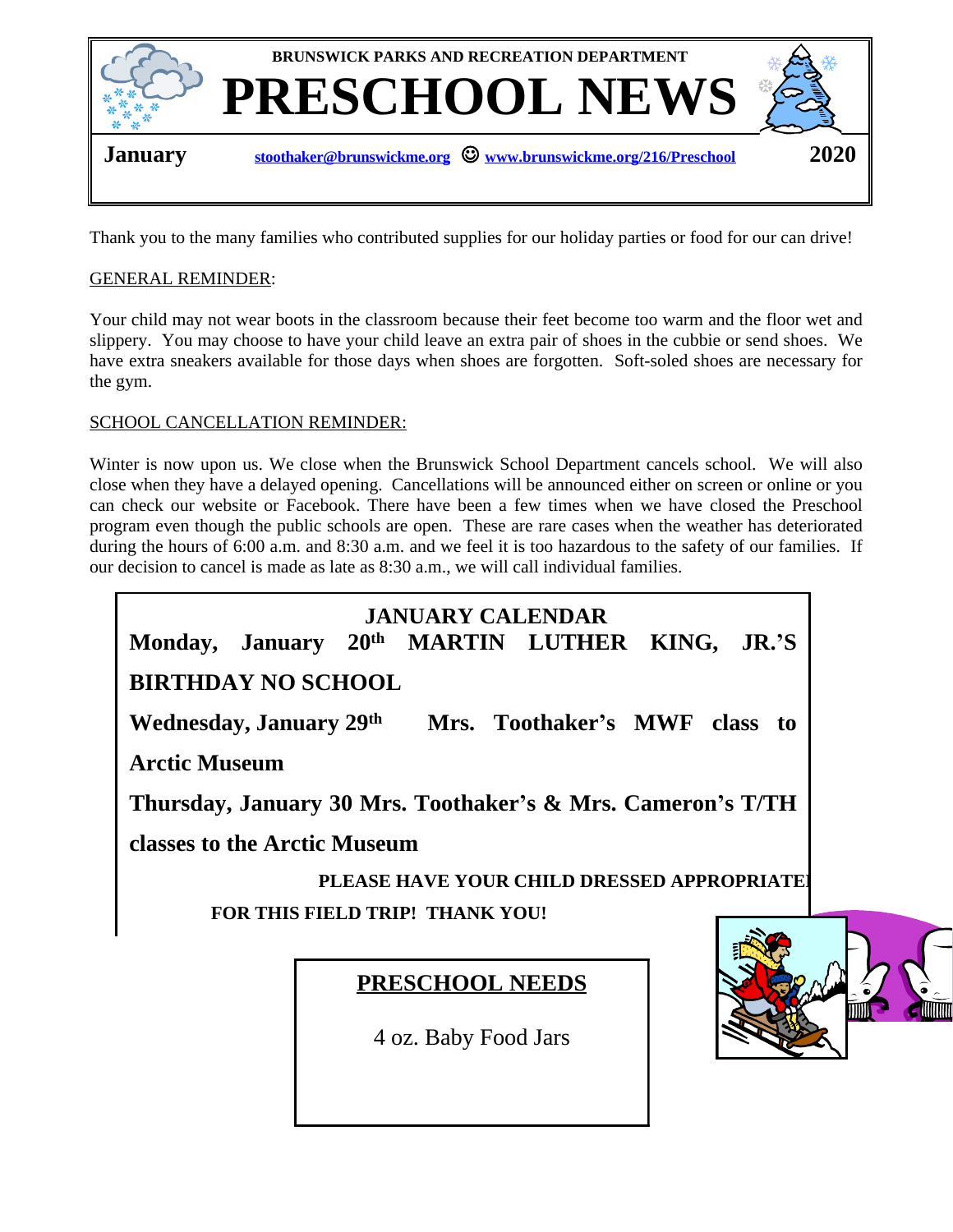

Thank you to the many families who contributed supplies for our holiday parties or food for our can drive!

## GENERAL REMINDER:

Your child may not wear boots in the classroom because their feet become too warm and the floor wet and slippery. You may choose to have your child leave an extra pair of shoes in the cubbie or send shoes. We have extra sneakers available for those days when shoes are forgotten. Soft-soled shoes are necessary for the gym.

## SCHOOL CANCELLATION REMINDER:

Winter is now upon us. We close when the Brunswick School Department cancels school. We will also close when they have a delayed opening. Cancellations will be announced either on screen or online or you can check our website or Facebook. There have been a few times when we have closed the Preschool program even though the public schools are open. These are rare cases when the weather has deteriorated during the hours of 6:00 a.m. and 8:30 a.m. and we feel it is too hazardous to the safety of our families. If our decision to cancel is made as late as 8:30 a.m., we will call individual families.

| <b>JANUARY CALENDAR</b>                                           |  |                      |  |  |       |  |
|-------------------------------------------------------------------|--|----------------------|--|--|-------|--|
| Monday, January 20 <sup>th</sup> MARTIN LUTHER KING,              |  |                      |  |  | JR.'S |  |
| <b>BIRTHDAY NO SCHOOL</b>                                         |  |                      |  |  |       |  |
| Wednesday, January 29 <sup>th</sup> Mrs. Toothaker's MWF class to |  |                      |  |  |       |  |
| <b>Arctic Museum</b>                                              |  |                      |  |  |       |  |
| Thursday, January 30 Mrs. Toothaker's & Mrs. Cameron's T/TH       |  |                      |  |  |       |  |
| classes to the Arctic Museum                                      |  |                      |  |  |       |  |
| PLEASE HAVE YOUR CHILD DRESSED APPROPRIATE                        |  |                      |  |  |       |  |
| FOR THIS FIELD TRIP! THANK YOU!                                   |  |                      |  |  |       |  |
|                                                                   |  |                      |  |  |       |  |
|                                                                   |  | PRESCHOOL NEEDS      |  |  |       |  |
|                                                                   |  | 4 oz. Baby Food Jars |  |  |       |  |
|                                                                   |  |                      |  |  |       |  |